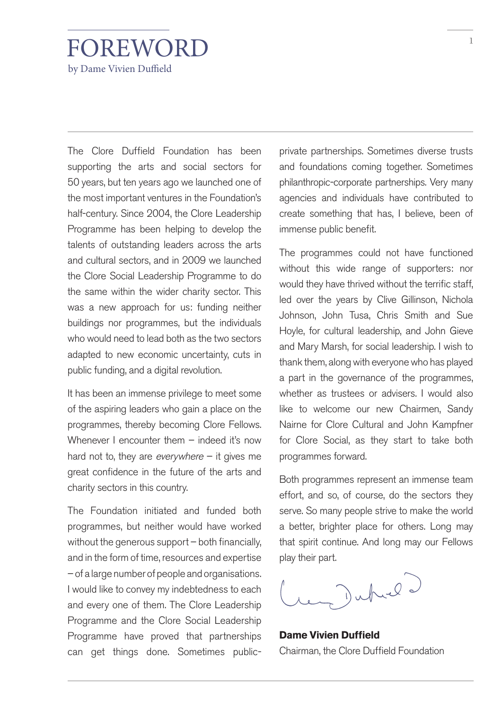## FOREWORD by Dame Vivien Duffield

The Clore Duffield Foundation has been supporting the arts and social sectors for 50 years, but ten years ago we launched one of the most important ventures in the Foundation's half-century. Since 2004, the Clore Leadership Programme has been helping to develop the talents of outstanding leaders across the arts and cultural sectors, and in 2009 we launched the Clore Social Leadership Programme to do the same within the wider charity sector. This was a new approach for us: funding neither buildings nor programmes, but the individuals who would need to lead both as the two sectors adapted to new economic uncertainty, cuts in public funding, and a digital revolution.

It has been an immense privilege to meet some of the aspiring leaders who gain a place on the programmes, thereby becoming Clore Fellows. Whenever I encounter them - indeed it's now hard not to, they are *everywhere*  $-$  it gives me great confidence in the future of the arts and charity sectors in this country.

The Foundation initiated and funded both programmes, but neither would have worked without the generous support – both financially, and in the form of time, resources and expertise – of a large number of people and organisations. I would like to convey my indebtedness to each and every one of them. The Clore Leadership Programme and the Clore Social Leadership Programme have proved that partnerships can get things done. Sometimes publicprivate partnerships. Sometimes diverse trusts and foundations coming together. Sometimes philanthropic-corporate partnerships. Very many agencies and individuals have contributed to create something that has, I believe, been of immense public benefit.

The programmes could not have functioned without this wide range of supporters: nor would they have thrived without the terrific staff, led over the years by Clive Gillinson, Nichola Johnson, John Tusa, Chris Smith and Sue Hoyle, for cultural leadership, and John Gieve and Mary Marsh, for social leadership. I wish to thank them, along with everyone who has played a part in the governance of the programmes, whether as trustees or advisers. I would also like to welcome our new Chairmen, Sandy Nairne for Clore Cultural and John Kampfner for Clore Social, as they start to take both programmes forward.

Both programmes represent an immense team effort, and so, of course, do the sectors they serve. So many people strive to make the world a better, brighter place for others. Long may that spirit continue. And long may our Fellows play their part.

render de

**Dame Vivien Duffield** Chairman, the Clore Duffield Foundation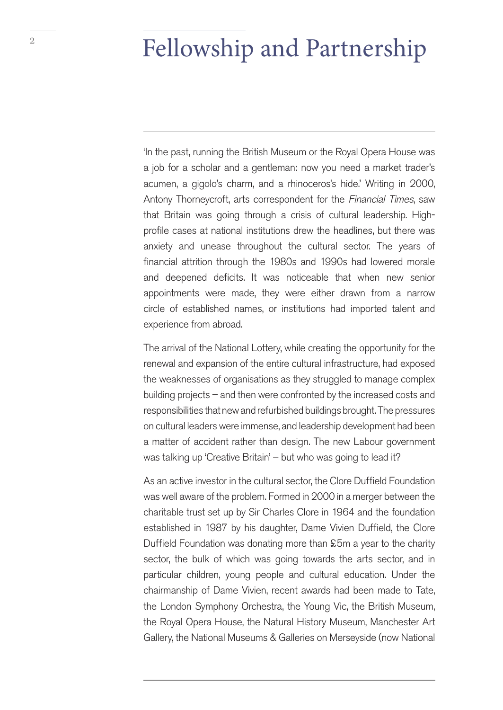## <sup>2</sup> Fellowship and Partnership

'In the past, running the British Museum or the Royal Opera House was a job for a scholar and a gentleman: now you need a market trader's acumen, a gigolo's charm, and a rhinoceros's hide.' Writing in 2000, Antony Thorneycroft, arts correspondent for the Financial Times, saw that Britain was going through a crisis of cultural leadership. Highprofile cases at national institutions drew the headlines, but there was anxiety and unease throughout the cultural sector. The years of financial attrition through the 1980s and 1990s had lowered morale and deepened deficits. It was noticeable that when new senior appointments were made, they were either drawn from a narrow circle of established names, or institutions had imported talent and experience from abroad.

The arrival of the National Lottery, while creating the opportunity for the renewal and expansion of the entire cultural infrastructure, had exposed the weaknesses of organisations as they struggled to manage complex building projects – and then were confronted by the increased costs and responsibilities that new and refurbished buildings brought. The pressures on cultural leaders were immense, and leadership development had been a matter of accident rather than design. The new Labour government was talking up 'Creative Britain' – but who was going to lead it?

As an active investor in the cultural sector, the Clore Duffield Foundation was well aware of the problem. Formed in 2000 in a merger between the charitable trust set up by Sir Charles Clore in 1964 and the foundation established in 1987 by his daughter, Dame Vivien Duffield, the Clore Duffield Foundation was donating more than £5m a year to the charity sector, the bulk of which was going towards the arts sector, and in particular children, young people and cultural education. Under the chairmanship of Dame Vivien, recent awards had been made to Tate, the London Symphony Orchestra, the Young Vic, the British Museum, the Royal Opera House, the Natural History Museum, Manchester Art Gallery, the National Museums & Galleries on Merseyside (now National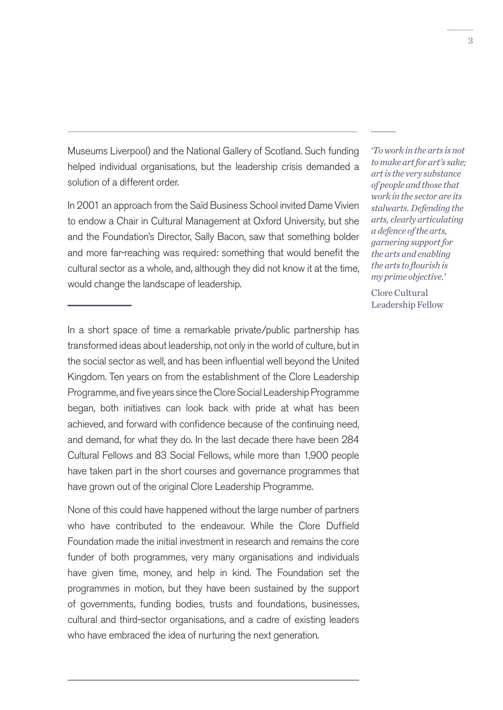Museums Liverpool) and the National Gallery of Scotland. Such funding helped individual organisations, but the leadership crisis demanded a solution of a different order.

In 2001 an approach from the Saïd Business School invited Dame Vivien to endow a Chair in Cultural Management at Oxford University, but she and the Foundation's Director, Sally Bacon, saw that something bolder and more far-reaching was required: something that would benefit the cultural sector as a whole, and, although they did not know it at the time, would change the landscape of leadership.

In a short space of time a remarkable private/public partnership has transformed ideas about leadership, not only in the world of culture, but in the social sector as well, and has been influential well beyond the United Kingdom. Ten years on from the establishment of the Clore Leadership Programme, and five years since the Clore Social Leadership Programme began, both initiatives can look back with pride at what has been achieved, and forward with confidence because of the continuing need, and demand, for what they do. In the last decade there have been 284 Cultural Fellows and 83 Social Fellows, while more than 1,900 people have taken part in the short courses and governance programmes that have grown out of the original Clore Leadership Programme.

None of this could have happened without the large number of partners who have contributed to the endeavour. While the Clore Duffield Foundation made the initial investment in research and remains the core funder of both programmes, very many organisations and individuals have given time, money, and help in kind. The Foundation set the programmes in motion, but they have been sustained by the support of governments, funding bodies, trusts and foundations, businesses, cultural and third-sector organisations, and a cadre of existing leaders who have embraced the idea of nurturing the next generation.

 *'To work in the arts is not to make art for art's sake; art is the very substance of people and those that work in the sector are its stalwarts. Defending the arts, clearly articulating a defence of the arts, garnering support for the arts and enabling the arts to flourish is my prime objective.'* 

Clore Cultural Leadership Fellow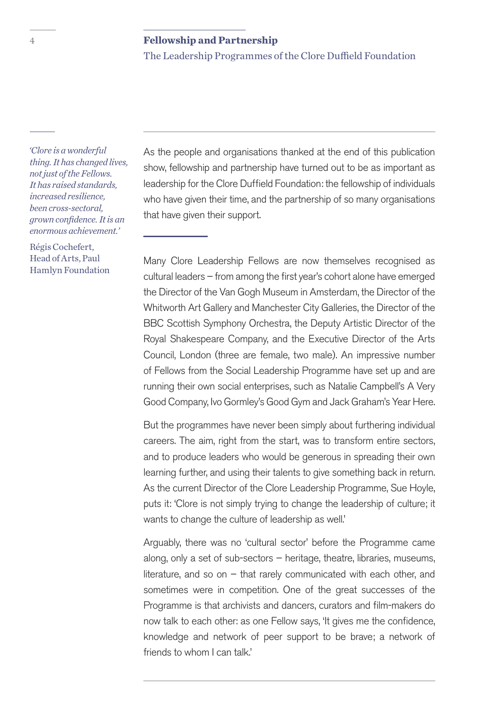The Leadership Programmes of the Clore Duffield Foundation

 *'Clore is a wonderful thing. It has changed lives, not just of the Fellows. It has raised standards, increased resilience, been cross-sectoral, grown confidence. It is an enormous achievement.'*

Régis Cochefert, Head of Arts, Paul Hamlyn Foundation As the people and organisations thanked at the end of this publication show, fellowship and partnership have turned out to be as important as leadership for the Clore Duffield Foundation: the fellowship of individuals who have given their time, and the partnership of so many organisations that have given their support.

Many Clore Leadership Fellows are now themselves recognised as cultural leaders – from among the first year's cohort alone have emerged the Director of the Van Gogh Museum in Amsterdam, the Director of the Whitworth Art Gallery and Manchester City Galleries, the Director of the BBC Scottish Symphony Orchestra, the Deputy Artistic Director of the Royal Shakespeare Company, and the Executive Director of the Arts Council, London (three are female, two male). An impressive number of Fellows from the Social Leadership Programme have set up and are running their own social enterprises, such as Natalie Campbell's A Very Good Company, Ivo Gormley's Good Gym and Jack Graham's Year Here.

But the programmes have never been simply about furthering individual careers. The aim, right from the start, was to transform entire sectors, and to produce leaders who would be generous in spreading their own learning further, and using their talents to give something back in return. As the current Director of the Clore Leadership Programme, Sue Hoyle, puts it: 'Clore is not simply trying to change the leadership of culture; it wants to change the culture of leadership as well.'

Arguably, there was no 'cultural sector' before the Programme came along, only a set of sub-sectors – heritage, theatre, libraries, museums, literature, and so on – that rarely communicated with each other, and sometimes were in competition. One of the great successes of the Programme is that archivists and dancers, curators and film-makers do now talk to each other: as one Fellow says, 'It gives me the confidence, knowledge and network of peer support to be brave; a network of friends to whom I can talk.'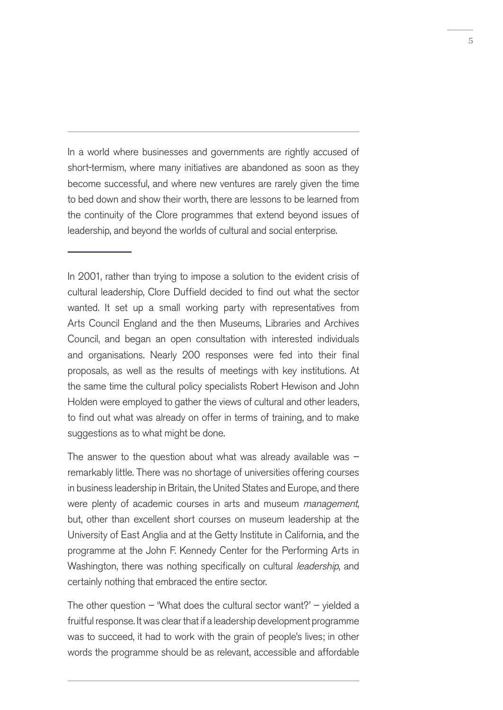In a world where businesses and governments are rightly accused of short-termism, where many initiatives are abandoned as soon as they become successful, and where new ventures are rarely given the time to bed down and show their worth, there are lessons to be learned from the continuity of the Clore programmes that extend beyond issues of leadership, and beyond the worlds of cultural and social enterprise.

In 2001, rather than trying to impose a solution to the evident crisis of cultural leadership, Clore Duffield decided to find out what the sector wanted. It set up a small working party with representatives from Arts Council England and the then Museums, Libraries and Archives Council, and began an open consultation with interested individuals and organisations. Nearly 200 responses were fed into their final proposals, as well as the results of meetings with key institutions. At the same time the cultural policy specialists Robert Hewison and John Holden were employed to gather the views of cultural and other leaders, to find out what was already on offer in terms of training, and to make suggestions as to what might be done.

The answer to the question about what was already available was  $$ remarkably little. There was no shortage of universities offering courses in business leadership in Britain, the United States and Europe, and there were plenty of academic courses in arts and museum management, but, other than excellent short courses on museum leadership at the University of East Anglia and at the Getty Institute in California, and the programme at the John F. Kennedy Center for the Performing Arts in Washington, there was nothing specifically on cultural *leadership*, and certainly nothing that embraced the entire sector.

The other question – 'What does the cultural sector want?' – yielded a fruitful response. It was clear that if a leadership development programme was to succeed, it had to work with the grain of people's lives; in other words the programme should be as relevant, accessible and affordable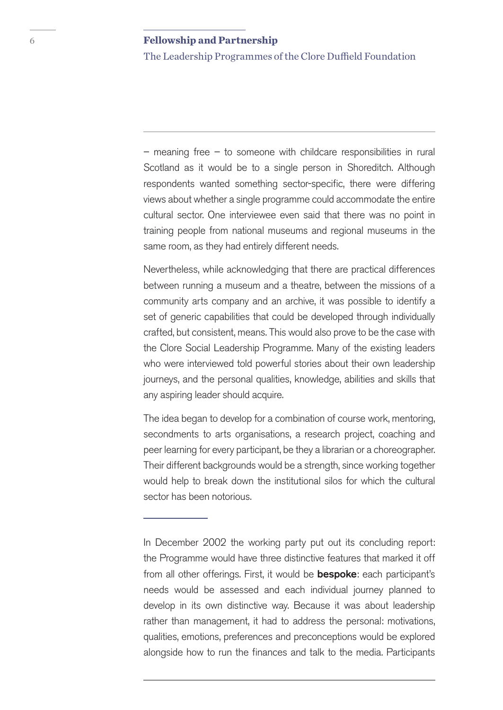The Leadership Programmes of the Clore Duffield Foundation

 $-$  meaning free  $-$  to someone with childcare responsibilities in rural Scotland as it would be to a single person in Shoreditch. Although respondents wanted something sector-specific, there were differing views about whether a single programme could accommodate the entire cultural sector. One interviewee even said that there was no point in training people from national museums and regional museums in the same room, as they had entirely different needs.

Nevertheless, while acknowledging that there are practical differences between running a museum and a theatre, between the missions of a community arts company and an archive, it was possible to identify a set of generic capabilities that could be developed through individually crafted, but consistent, means. This would also prove to be the case with the Clore Social Leadership Programme. Many of the existing leaders who were interviewed told powerful stories about their own leadership journeys, and the personal qualities, knowledge, abilities and skills that any aspiring leader should acquire.

The idea began to develop for a combination of course work, mentoring, secondments to arts organisations, a research project, coaching and peer learning for every participant, be they a librarian or a choreographer. Their different backgrounds would be a strength, since working together would help to break down the institutional silos for which the cultural sector has been notorious.

In December 2002 the working party put out its concluding report: the Programme would have three distinctive features that marked it off from all other offerings. First, it would be **bespoke**: each participant's needs would be assessed and each individual journey planned to develop in its own distinctive way. Because it was about leadership rather than management, it had to address the personal: motivations, qualities, emotions, preferences and preconceptions would be explored alongside how to run the finances and talk to the media. Participants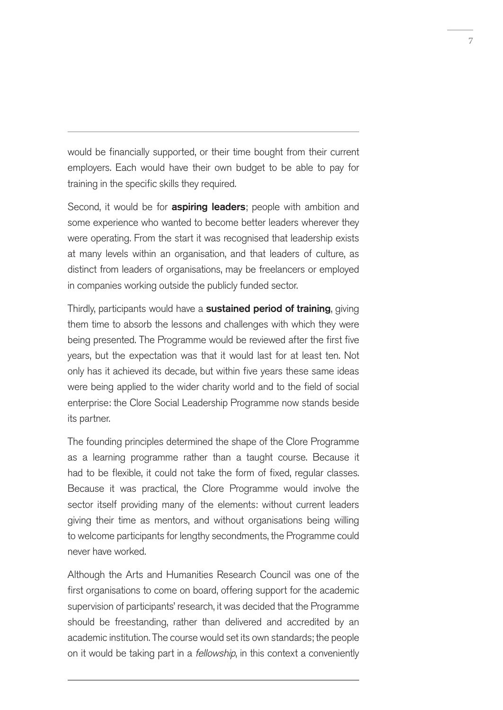would be financially supported, or their time bought from their current employers. Each would have their own budget to be able to pay for training in the specific skills they required.

Second, it would be for **aspiring leaders**; people with ambition and some experience who wanted to become better leaders wherever they were operating. From the start it was recognised that leadership exists at many levels within an organisation, and that leaders of culture, as distinct from leaders of organisations, may be freelancers or employed in companies working outside the publicly funded sector.

Thirdly, participants would have a sustained period of training, giving them time to absorb the lessons and challenges with which they were being presented. The Programme would be reviewed after the first five years, but the expectation was that it would last for at least ten. Not only has it achieved its decade, but within five years these same ideas were being applied to the wider charity world and to the field of social enterprise: the Clore Social Leadership Programme now stands beside its partner.

The founding principles determined the shape of the Clore Programme as a learning programme rather than a taught course. Because it had to be flexible, it could not take the form of fixed, regular classes. Because it was practical, the Clore Programme would involve the sector itself providing many of the elements: without current leaders giving their time as mentors, and without organisations being willing to welcome participants for lengthy secondments, the Programme could never have worked.

Although the Arts and Humanities Research Council was one of the first organisations to come on board, offering support for the academic supervision of participants' research, it was decided that the Programme should be freestanding, rather than delivered and accredited by an academic institution. The course would set its own standards; the people on it would be taking part in a *fellowship*, in this context a conveniently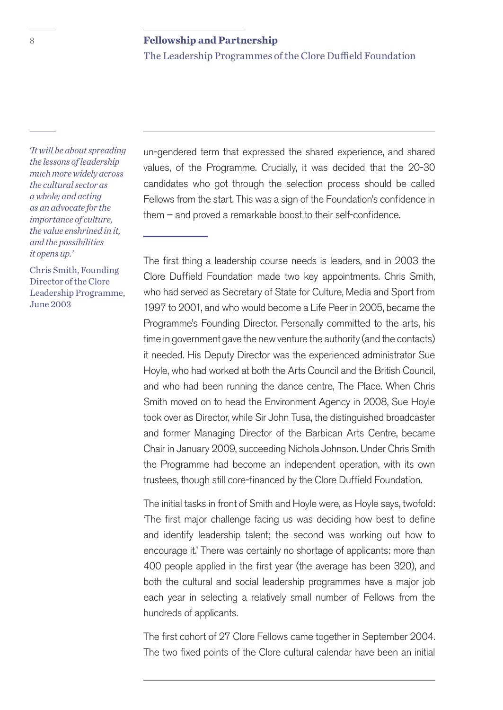The Leadership Programmes of the Clore Duffield Foundation

 *'It will be about spreading the lessons of leadership much more widely across the cultural sector as a whole; and acting as an advocate for the importance of culture, the value enshrined in it, and the possibilities it opens up.'* 

Chris Smith, Founding Director of the Clore Leadership Programme, June 2003

un-gendered term that expressed the shared experience, and shared values, of the Programme. Crucially, it was decided that the 20-30 candidates who got through the selection process should be called Fellows from the start. This was a sign of the Foundation's confidence in them – and proved a remarkable boost to their self-confidence.

The first thing a leadership course needs is leaders, and in 2003 the Clore Duffield Foundation made two key appointments. Chris Smith, who had served as Secretary of State for Culture, Media and Sport from 1997 to 2001, and who would become a Life Peer in 2005, became the Programme's Founding Director. Personally committed to the arts, his time in government gave the new venture the authority (and the contacts) it needed. His Deputy Director was the experienced administrator Sue Hoyle, who had worked at both the Arts Council and the British Council, and who had been running the dance centre, The Place. When Chris Smith moved on to head the Environment Agency in 2008, Sue Hoyle took over as Director, while Sir John Tusa, the distinguished broadcaster and former Managing Director of the Barbican Arts Centre, became Chair in January 2009, succeeding Nichola Johnson. Under Chris Smith the Programme had become an independent operation, with its own trustees, though still core-financed by the Clore Duffield Foundation.

The initial tasks in front of Smith and Hoyle were, as Hoyle says, twofold: 'The first major challenge facing us was deciding how best to define and identify leadership talent; the second was working out how to encourage it.' There was certainly no shortage of applicants: more than 400 people applied in the first year (the average has been 320), and both the cultural and social leadership programmes have a major job each year in selecting a relatively small number of Fellows from the hundreds of applicants.

The first cohort of 27 Clore Fellows came together in September 2004. The two fixed points of the Clore cultural calendar have been an initial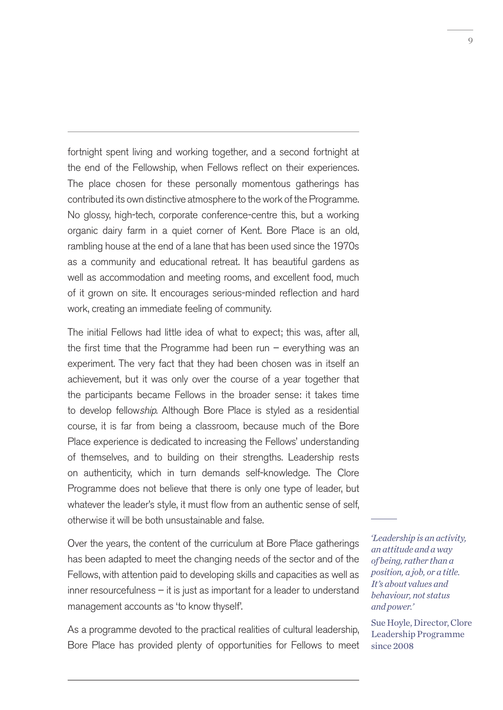fortnight spent living and working together, and a second fortnight at the end of the Fellowship, when Fellows reflect on their experiences. The place chosen for these personally momentous gatherings has contributed its own distinctive atmosphere to the work of the Programme. No glossy, high-tech, corporate conference-centre this, but a working organic dairy farm in a quiet corner of Kent. Bore Place is an old, rambling house at the end of a lane that has been used since the 1970s as a community and educational retreat. It has beautiful gardens as well as accommodation and meeting rooms, and excellent food, much of it grown on site. It encourages serious-minded reflection and hard work, creating an immediate feeling of community.

The initial Fellows had little idea of what to expect; this was, after all, the first time that the Programme had been run  $-$  everything was an experiment. The very fact that they had been chosen was in itself an achievement, but it was only over the course of a year together that the participants became Fellows in the broader sense: it takes time to develop fellowship. Although Bore Place is styled as a residential course, it is far from being a classroom, because much of the Bore Place experience is dedicated to increasing the Fellows' understanding of themselves, and to building on their strengths. Leadership rests on authenticity, which in turn demands self-knowledge. The Clore Programme does not believe that there is only one type of leader, but whatever the leader's style, it must flow from an authentic sense of self, otherwise it will be both unsustainable and false.

Over the years, the content of the curriculum at Bore Place gatherings has been adapted to meet the changing needs of the sector and of the Fellows, with attention paid to developing skills and capacities as well as inner resourcefulness – it is just as important for a leader to understand management accounts as 'to know thyself'.

As a programme devoted to the practical realities of cultural leadership, Bore Place has provided plenty of opportunities for Fellows to meet  *'Leadership is an activity, an attitude and a way of being, rather than a position, a job, or a title. It's about values and behaviour, not status and power.'* 

Sue Hoyle, Director, Clore Leadership Programme since 2008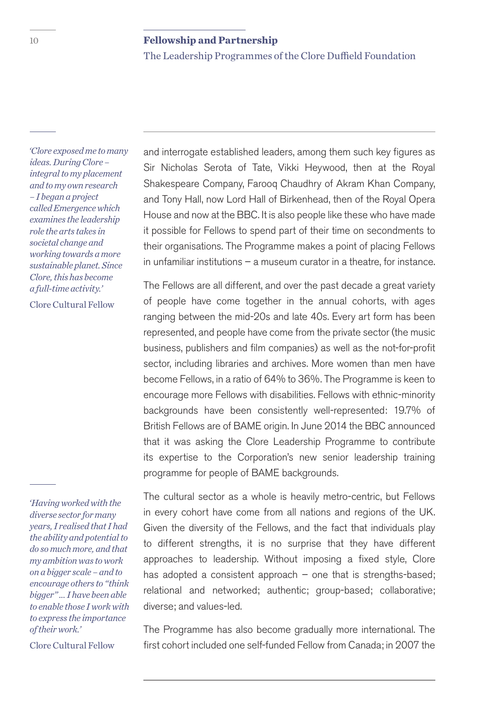The Leadership Programmes of the Clore Duffield Foundation

 *'Clore exposed me to many ideas. During Clore – integral to my placement and to my own research – I began a project called Emergence which examines the leadership role the arts takes in societal change and working towards a more sustainable planet. Since Clore, this has become a full-time activity.'* 

Clore Cultural Fellow

 *'Having worked with the diverse sector for many years, I realised that I had the ability and potential to do so much more, and that my ambition was to work on a bigger scale – and to encourage others to "think bigger" ... I have been able to enable those I work with to express the importance of their work.'* 

Clore Cultural Fellow

and interrogate established leaders, among them such key figures as Sir Nicholas Serota of Tate, Vikki Heywood, then at the Royal Shakespeare Company, Farooq Chaudhry of Akram Khan Company, and Tony Hall, now Lord Hall of Birkenhead, then of the Royal Opera House and now at the BBC. It is also people like these who have made it possible for Fellows to spend part of their time on secondments to their organisations. The Programme makes a point of placing Fellows in unfamiliar institutions – a museum curator in a theatre, for instance.

The Fellows are all different, and over the past decade a great variety of people have come together in the annual cohorts, with ages ranging between the mid-20s and late 40s. Every art form has been represented, and people have come from the private sector (the music business, publishers and film companies) as well as the not-for-profit sector, including libraries and archives. More women than men have become Fellows, in a ratio of 64% to 36%. The Programme is keen to encourage more Fellows with disabilities. Fellows with ethnic-minority backgrounds have been consistently well-represented: 19.7% of British Fellows are of BAME origin. In June 2014 the BBC announced that it was asking the Clore Leadership Programme to contribute its expertise to the Corporation's new senior leadership training programme for people of BAME backgrounds.

The cultural sector as a whole is heavily metro-centric, but Fellows in every cohort have come from all nations and regions of the UK. Given the diversity of the Fellows, and the fact that individuals play to different strengths, it is no surprise that they have different approaches to leadership. Without imposing a fixed style, Clore has adopted a consistent approach – one that is strengths-based; relational and networked; authentic; group-based; collaborative; diverse; and values-led.

The Programme has also become gradually more international. The first cohort included one self-funded Fellow from Canada; in 2007 the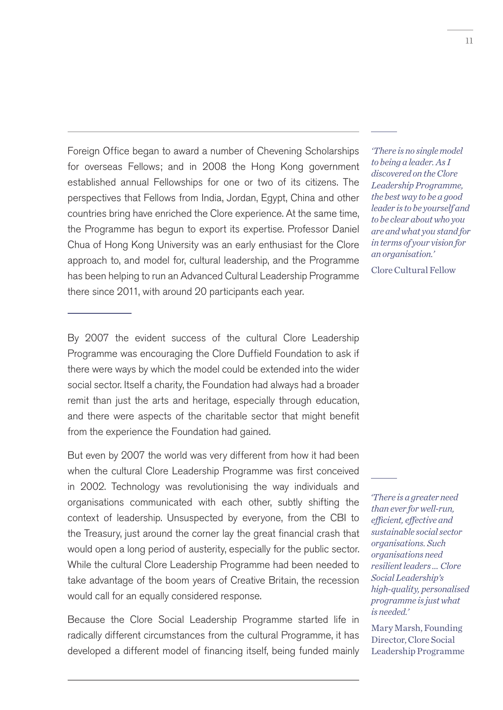Foreign Office began to award a number of Chevening Scholarships for overseas Fellows; and in 2008 the Hong Kong government established annual Fellowships for one or two of its citizens. The perspectives that Fellows from India, Jordan, Egypt, China and other countries bring have enriched the Clore experience. At the same time, the Programme has begun to export its expertise. Professor Daniel Chua of Hong Kong University was an early enthusiast for the Clore approach to, and model for, cultural leadership, and the Programme has been helping to run an Advanced Cultural Leadership Programme there since 2011, with around 20 participants each year.

*'There is no single model to being a leader. As I discovered on the Clore Leadership Programme, the best way to be a good leader is to be yourself and to be clear about who you are and what you stand for in terms of your vision for an organisation.'* 

Clore Cultural Fellow

By 2007 the evident success of the cultural Clore Leadership Programme was encouraging the Clore Duffield Foundation to ask if there were ways by which the model could be extended into the wider social sector. Itself a charity, the Foundation had always had a broader remit than just the arts and heritage, especially through education, and there were aspects of the charitable sector that might benefit from the experience the Foundation had gained.

But even by 2007 the world was very different from how it had been when the cultural Clore Leadership Programme was first conceived in 2002. Technology was revolutionising the way individuals and organisations communicated with each other, subtly shifting the context of leadership. Unsuspected by everyone, from the CBI to the Treasury, just around the corner lay the great financial crash that would open a long period of austerity, especially for the public sector. While the cultural Clore Leadership Programme had been needed to take advantage of the boom years of Creative Britain, the recession would call for an equally considered response.

Because the Clore Social Leadership Programme started life in radically different circumstances from the cultural Programme, it has developed a different model of financing itself, being funded mainly

 *'There is a greater need than ever for well-run, efficient, effective and sustainable social sector organisations. Such organisations need resilient leaders … Clore Social Leadership's high-quality, personalised programme is just what is needed.'* 

Mary Marsh, Founding Director, Clore Social Leadership Programme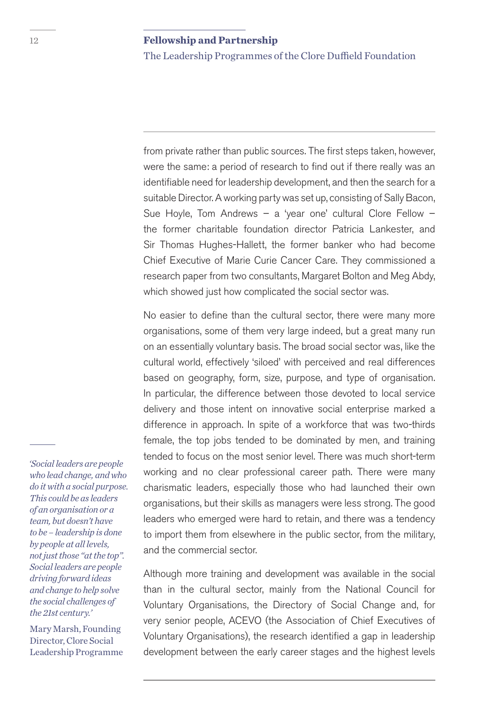The Leadership Programmes of the Clore Duffield Foundation

from private rather than public sources. The first steps taken, however, were the same: a period of research to find out if there really was an identifiable need for leadership development, and then the search for a suitable Director. A working party was set up, consisting of Sally Bacon, Sue Hoyle, Tom Andrews – a 'year one' cultural Clore Fellow – the former charitable foundation director Patricia Lankester, and Sir Thomas Hughes-Hallett, the former banker who had become Chief Executive of Marie Curie Cancer Care. They commissioned a research paper from two consultants, Margaret Bolton and Meg Abdy, which showed just how complicated the social sector was.

No easier to define than the cultural sector, there were many more organisations, some of them very large indeed, but a great many run on an essentially voluntary basis. The broad social sector was, like the cultural world, effectively 'siloed' with perceived and real differences based on geography, form, size, purpose, and type of organisation. In particular, the difference between those devoted to local service delivery and those intent on innovative social enterprise marked a difference in approach. In spite of a workforce that was two-thirds female, the top jobs tended to be dominated by men, and training tended to focus on the most senior level. There was much short-term working and no clear professional career path. There were many charismatic leaders, especially those who had launched their own organisations, but their skills as managers were less strong. The good leaders who emerged were hard to retain, and there was a tendency to import them from elsewhere in the public sector, from the military, and the commercial sector.

Although more training and development was available in the social than in the cultural sector, mainly from the National Council for Voluntary Organisations, the Directory of Social Change and, for very senior people, ACEVO (the Association of Chief Executives of Voluntary Organisations), the research identified a gap in leadership development between the early career stages and the highest levels

 *'Social leaders are people who lead change, and who do it with a social purpose. This could be as leaders of an organisation or a team, but doesn't have to be – leadership is done by people at all levels, not just those "at the top". Social leaders are people driving forward ideas and change to help solve the social challenges of the 21st century.'* 

Mary Marsh, Founding Director, Clore Social Leadership Programme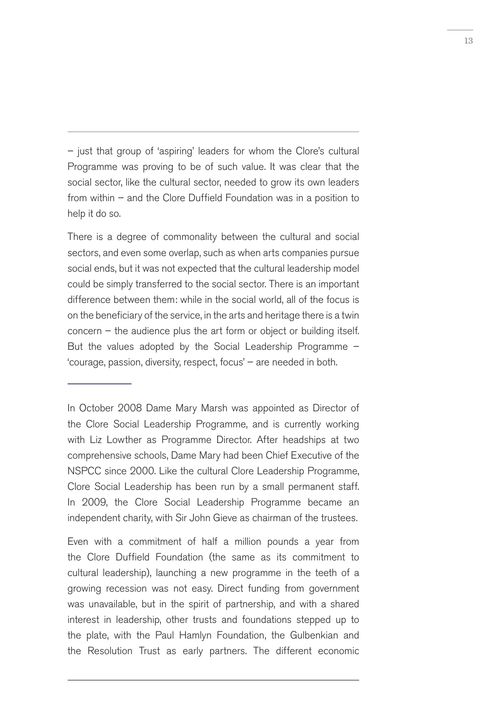– just that group of 'aspiring' leaders for whom the Clore's cultural Programme was proving to be of such value. It was clear that the social sector, like the cultural sector, needed to grow its own leaders from within – and the Clore Duffield Foundation was in a position to help it do so.

There is a degree of commonality between the cultural and social sectors, and even some overlap, such as when arts companies pursue social ends, but it was not expected that the cultural leadership model could be simply transferred to the social sector. There is an important difference between them: while in the social world, all of the focus is on the beneficiary of the service, in the arts and heritage there is a twin concern – the audience plus the art form or object or building itself. But the values adopted by the Social Leadership Programme – 'courage, passion, diversity, respect, focus' – are needed in both.

In October 2008 Dame Mary Marsh was appointed as Director of the Clore Social Leadership Programme, and is currently working with Liz Lowther as Programme Director. After headships at two comprehensive schools, Dame Mary had been Chief Executive of the NSPCC since 2000. Like the cultural Clore Leadership Programme, Clore Social Leadership has been run by a small permanent staff. In 2009, the Clore Social Leadership Programme became an independent charity, with Sir John Gieve as chairman of the trustees.

Even with a commitment of half a million pounds a year from the Clore Duffield Foundation (the same as its commitment to cultural leadership), launching a new programme in the teeth of a growing recession was not easy. Direct funding from government was unavailable, but in the spirit of partnership, and with a shared interest in leadership, other trusts and foundations stepped up to the plate, with the Paul Hamlyn Foundation, the Gulbenkian and the Resolution Trust as early partners. The different economic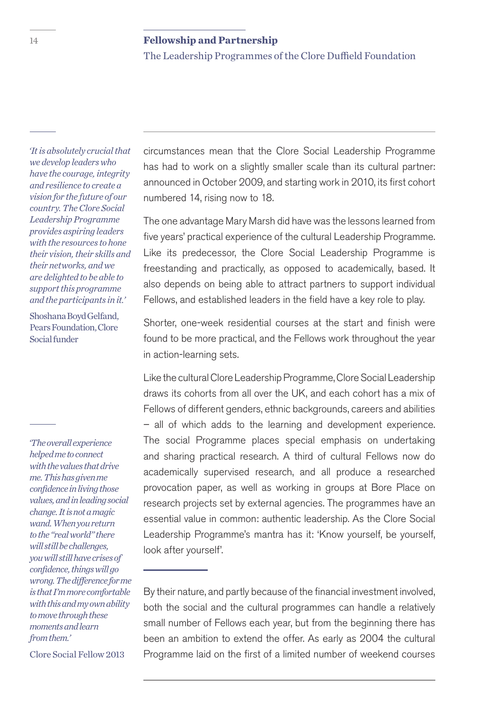The Leadership Programmes of the Clore Duffield Foundation

 *'It is absolutely crucial that we develop leaders who have the courage, integrity and resilience to create a vision for the future of our country. The Clore Social Leadership Programme provides aspiring leaders with the resources to hone their vision, their skills and their networks, and we are delighted to be able to support this programme and the participants in it.'* 

Shoshana Boyd Gelfand, Pears Foundation, Clore Social funder

 *'The overall experience helped me to connect with the values that drive me. This has given me confidence in living those values, and in leading social change. It is not a magic wand. When you return to the "real world" there will still be challenges, you will still have crises of confidence, things will go wrong. The difference for me is that I'm more comfortable with this and my own ability to move through these moments and learn from them.'* 

Clore Social Fellow 2013

circumstances mean that the Clore Social Leadership Programme has had to work on a slightly smaller scale than its cultural partner: announced in October 2009, and starting work in 2010, its first cohort numbered 14, rising now to 18.

The one advantage Mary Marsh did have was the lessons learned from five years' practical experience of the cultural Leadership Programme. Like its predecessor, the Clore Social Leadership Programme is freestanding and practically, as opposed to academically, based. It also depends on being able to attract partners to support individual Fellows, and established leaders in the field have a key role to play.

Shorter, one-week residential courses at the start and finish were found to be more practical, and the Fellows work throughout the year in action-learning sets.

Like the cultural Clore Leadership Programme, Clore Social Leadership draws its cohorts from all over the UK, and each cohort has a mix of Fellows of different genders, ethnic backgrounds, careers and abilities – all of which adds to the learning and development experience. The social Programme places special emphasis on undertaking and sharing practical research. A third of cultural Fellows now do academically supervised research, and all produce a researched provocation paper, as well as working in groups at Bore Place on research projects set by external agencies. The programmes have an essential value in common: authentic leadership. As the Clore Social Leadership Programme's mantra has it: 'Know yourself, be yourself, look after yourself'.

By their nature, and partly because of the financial investment involved, both the social and the cultural programmes can handle a relatively small number of Fellows each year, but from the beginning there has been an ambition to extend the offer. As early as 2004 the cultural Programme laid on the first of a limited number of weekend courses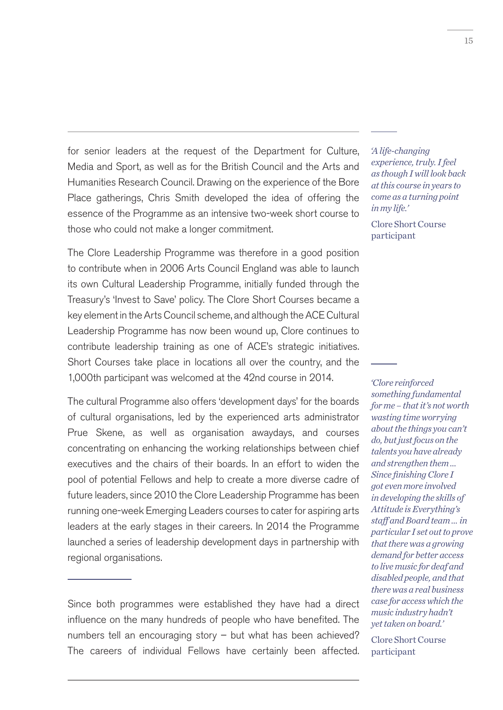for senior leaders at the request of the Department for Culture, Media and Sport, as well as for the British Council and the Arts and Humanities Research Council. Drawing on the experience of the Bore Place gatherings, Chris Smith developed the idea of offering the essence of the Programme as an intensive two-week short course to those who could not make a longer commitment.

The Clore Leadership Programme was therefore in a good position to contribute when in 2006 Arts Council England was able to launch its own Cultural Leadership Programme, initially funded through the Treasury's 'Invest to Save' policy. The Clore Short Courses became a key element in the Arts Council scheme, and although the ACE Cultural Leadership Programme has now been wound up, Clore continues to contribute leadership training as one of ACE's strategic initiatives. Short Courses take place in locations all over the country, and the 1,000th participant was welcomed at the 42nd course in 2014.

The cultural Programme also offers 'development days' for the boards of cultural organisations, led by the experienced arts administrator Prue Skene, as well as organisation awaydays, and courses concentrating on enhancing the working relationships between chief executives and the chairs of their boards. In an effort to widen the pool of potential Fellows and help to create a more diverse cadre of future leaders, since 2010 the Clore Leadership Programme has been running one-week Emerging Leaders courses to cater for aspiring arts leaders at the early stages in their careers. In 2014 the Programme launched a series of leadership development days in partnership with regional organisations.

Since both programmes were established they have had a direct influence on the many hundreds of people who have benefited. The numbers tell an encouraging story – but what has been achieved? The careers of individual Fellows have certainly been affected.

 *'A life-changing experience, truly. I feel as though I will look back at this course in years to come as a turning point in my life.'* 

Clore Short Course participant

 *'Clore reinforced something fundamental for me – that it's not worth wasting time worrying about the things you can't do, but just focus on the talents you have already and strengthen them … Since finishing Clore I got even more involved in developing the skills of Attitude is Everything's staff and Board team … in particular I set out to prove that there was a growing demand for better access to live music for deaf and disabled people, and that there was a real business case for access which the music industry hadn't yet taken on board.'* 

Clore Short Course participant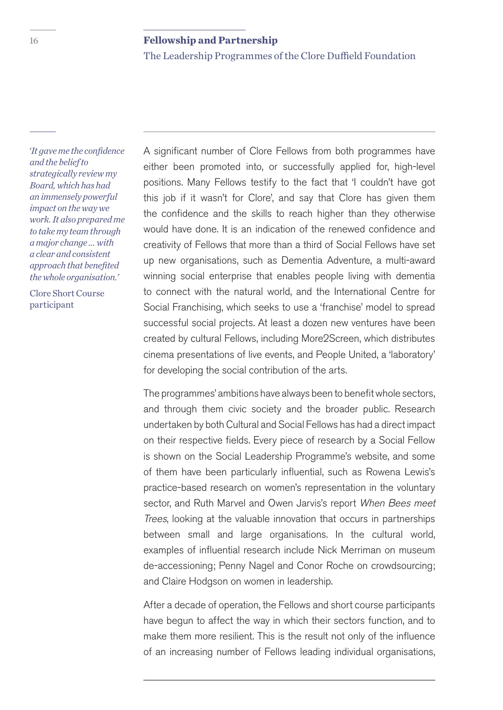The Leadership Programmes of the Clore Duffield Foundation

 *'It gave me the confidence and the belief to strategically review my Board, which has had an immensely powerful impact on the way we work. It also prepared me to take my team through a major change … with a clear and consistent approach that benefited the whole organisation.'* 

Clore Short Course participant

A significant number of Clore Fellows from both programmes have either been promoted into, or successfully applied for, high-level positions. Many Fellows testify to the fact that 'I couldn't have got this job if it wasn't for Clore', and say that Clore has given them the confidence and the skills to reach higher than they otherwise would have done. It is an indication of the renewed confidence and creativity of Fellows that more than a third of Social Fellows have set up new organisations, such as Dementia Adventure, a multi-award winning social enterprise that enables people living with dementia to connect with the natural world, and the International Centre for Social Franchising, which seeks to use a 'franchise' model to spread successful social projects. At least a dozen new ventures have been created by cultural Fellows, including More2Screen, which distributes cinema presentations of live events, and People United, a 'laboratory' for developing the social contribution of the arts.

The programmes' ambitions have always been to benefit whole sectors, and through them civic society and the broader public. Research undertaken by both Cultural and Social Fellows has had a direct impact on their respective fields. Every piece of research by a Social Fellow is shown on the Social Leadership Programme's website, and some of them have been particularly influential, such as Rowena Lewis's practice-based research on women's representation in the voluntary sector, and Ruth Marvel and Owen Jarvis's report When Bees meet Trees, looking at the valuable innovation that occurs in partnerships between small and large organisations. In the cultural world, examples of influential research include Nick Merriman on museum de-accessioning; Penny Nagel and Conor Roche on crowdsourcing; and Claire Hodgson on women in leadership.

After a decade of operation, the Fellows and short course participants have begun to affect the way in which their sectors function, and to make them more resilient. This is the result not only of the influence of an increasing number of Fellows leading individual organisations,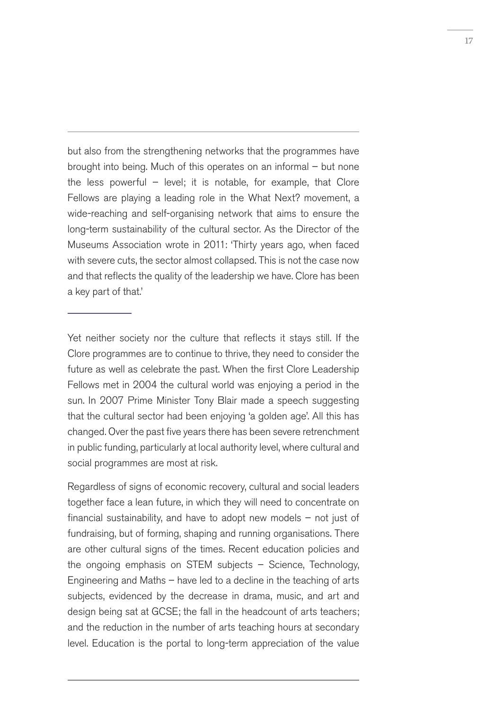but also from the strengthening networks that the programmes have brought into being. Much of this operates on an informal – but none the less powerful  $-$  level; it is notable, for example, that Clore Fellows are playing a leading role in the What Next? movement, a wide-reaching and self-organising network that aims to ensure the long-term sustainability of the cultural sector. As the Director of the Museums Association wrote in 2011: 'Thirty years ago, when faced with severe cuts, the sector almost collapsed. This is not the case now and that reflects the quality of the leadership we have. Clore has been a key part of that.'

Yet neither society nor the culture that reflects it stays still. If the Clore programmes are to continue to thrive, they need to consider the future as well as celebrate the past. When the first Clore Leadership Fellows met in 2004 the cultural world was enjoying a period in the sun. In 2007 Prime Minister Tony Blair made a speech suggesting that the cultural sector had been enjoying 'a golden age'. All this has changed. Over the past five years there has been severe retrenchment in public funding, particularly at local authority level, where cultural and social programmes are most at risk.

Regardless of signs of economic recovery, cultural and social leaders together face a lean future, in which they will need to concentrate on financial sustainability, and have to adopt new models  $-$  not just of fundraising, but of forming, shaping and running organisations. There are other cultural signs of the times. Recent education policies and the ongoing emphasis on STEM subjects – Science, Technology, Engineering and Maths – have led to a decline in the teaching of arts subjects, evidenced by the decrease in drama, music, and art and design being sat at GCSE; the fall in the headcount of arts teachers; and the reduction in the number of arts teaching hours at secondary level. Education is the portal to long-term appreciation of the value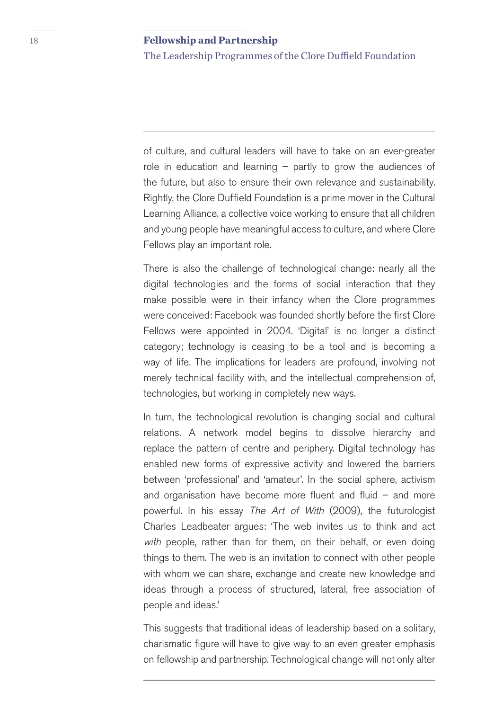The Leadership Programmes of the Clore Duffield Foundation

of culture, and cultural leaders will have to take on an ever-greater role in education and learning  $-$  partly to grow the audiences of the future, but also to ensure their own relevance and sustainability. Rightly, the Clore Duffield Foundation is a prime mover in the Cultural Learning Alliance, a collective voice working to ensure that all children and young people have meaningful access to culture, and where Clore Fellows play an important role.

There is also the challenge of technological change: nearly all the digital technologies and the forms of social interaction that they make possible were in their infancy when the Clore programmes were conceived: Facebook was founded shortly before the first Clore Fellows were appointed in 2004. 'Digital' is no longer a distinct category; technology is ceasing to be a tool and is becoming a way of life. The implications for leaders are profound, involving not merely technical facility with, and the intellectual comprehension of, technologies, but working in completely new ways.

In turn, the technological revolution is changing social and cultural relations. A network model begins to dissolve hierarchy and replace the pattern of centre and periphery. Digital technology has enabled new forms of expressive activity and lowered the barriers between 'professional' and 'amateur'. In the social sphere, activism and organisation have become more fluent and fluid  $-$  and more powerful. In his essay The Art of With (2009), the futurologist Charles Leadbeater argues: 'The web invites us to think and act with people, rather than for them, on their behalf, or even doing things to them. The web is an invitation to connect with other people with whom we can share, exchange and create new knowledge and ideas through a process of structured, lateral, free association of people and ideas.'

This suggests that traditional ideas of leadership based on a solitary, charismatic figure will have to give way to an even greater emphasis on fellowship and partnership. Technological change will not only alter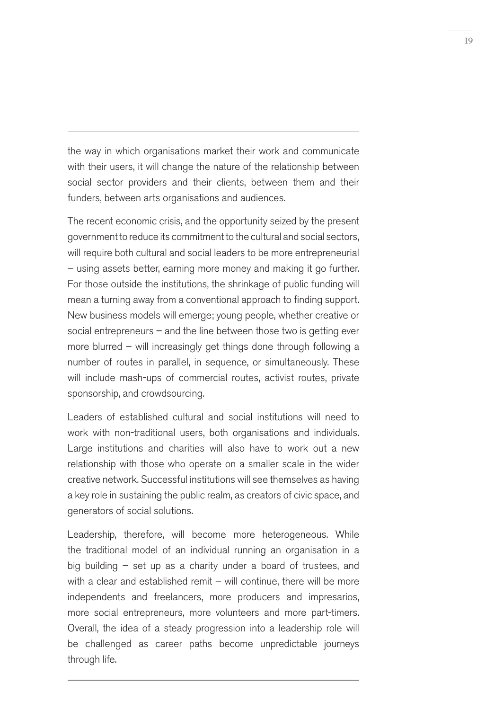the way in which organisations market their work and communicate with their users, it will change the nature of the relationship between social sector providers and their clients, between them and their funders, between arts organisations and audiences.

The recent economic crisis, and the opportunity seized by the present government to reduce its commitment to the cultural and social sectors, will require both cultural and social leaders to be more entrepreneurial – using assets better, earning more money and making it go further. For those outside the institutions, the shrinkage of public funding will mean a turning away from a conventional approach to finding support. New business models will emerge; young people, whether creative or social entrepreneurs – and the line between those two is getting ever more blurred – will increasingly get things done through following a number of routes in parallel, in sequence, or simultaneously. These will include mash-ups of commercial routes, activist routes, private sponsorship, and crowdsourcing.

Leaders of established cultural and social institutions will need to work with non-traditional users, both organisations and individuals. Large institutions and charities will also have to work out a new relationship with those who operate on a smaller scale in the wider creative network. Successful institutions will see themselves as having a key role in sustaining the public realm, as creators of civic space, and generators of social solutions.

Leadership, therefore, will become more heterogeneous. While the traditional model of an individual running an organisation in a big building – set up as a charity under a board of trustees, and with a clear and established remit  $-$  will continue, there will be more independents and freelancers, more producers and impresarios, more social entrepreneurs, more volunteers and more part-timers. Overall, the idea of a steady progression into a leadership role will be challenged as career paths become unpredictable journeys through life.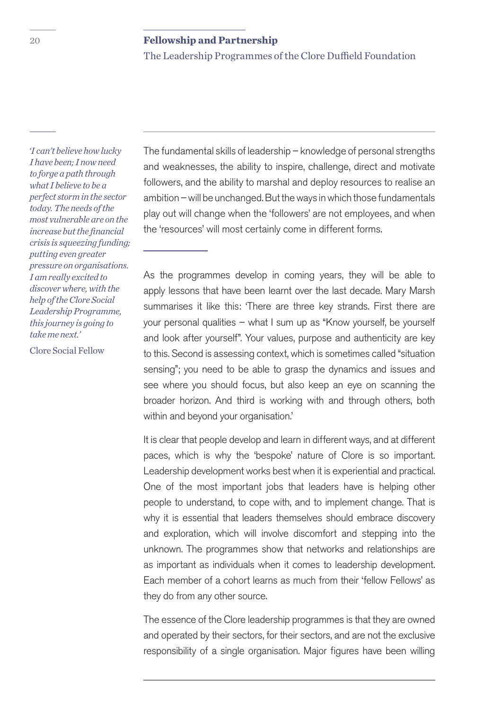The Leadership Programmes of the Clore Duffield Foundation

 *'I can't believe how lucky I have been; I now need to forge a path through what I believe to be a perfect storm in the sector today. The needs of the most vulnerable are on the increase but the financial crisis is squeezing funding; putting even greater pressure on organisations. I am really excited to discover where, with the help of the Clore Social Leadership Programme, this journey is going to take me next.'* 

Clore Social Fellow

The fundamental skills of leadership – knowledge of personal strengths and weaknesses, the ability to inspire, challenge, direct and motivate followers, and the ability to marshal and deploy resources to realise an ambition – will be unchanged. But the ways in which those fundamentals play out will change when the 'followers' are not employees, and when the 'resources' will most certainly come in different forms.

As the programmes develop in coming years, they will be able to apply lessons that have been learnt over the last decade. Mary Marsh summarises it like this: 'There are three key strands. First there are your personal qualities – what I sum up as "Know yourself, be yourself and look after yourself". Your values, purpose and authenticity are key to this. Second is assessing context, which is sometimes called "situation sensing"; you need to be able to grasp the dynamics and issues and see where you should focus, but also keep an eye on scanning the broader horizon. And third is working with and through others, both within and beyond your organisation.'

It is clear that people develop and learn in different ways, and at different paces, which is why the 'bespoke' nature of Clore is so important. Leadership development works best when it is experiential and practical. One of the most important jobs that leaders have is helping other people to understand, to cope with, and to implement change. That is why it is essential that leaders themselves should embrace discovery and exploration, which will involve discomfort and stepping into the unknown. The programmes show that networks and relationships are as important as individuals when it comes to leadership development. Each member of a cohort learns as much from their 'fellow Fellows' as they do from any other source.

The essence of the Clore leadership programmes is that they are owned and operated by their sectors, for their sectors, and are not the exclusive responsibility of a single organisation. Major figures have been willing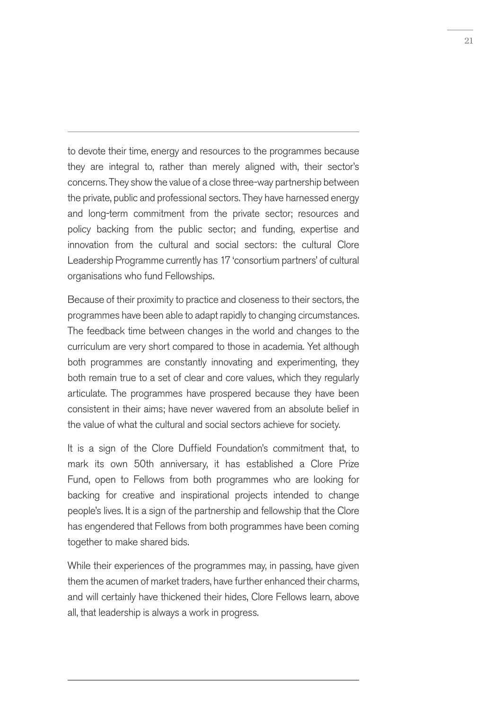to devote their time, energy and resources to the programmes because they are integral to, rather than merely aligned with, their sector's concerns. They show the value of a close three-way partnership between the private, public and professional sectors. They have harnessed energy and long-term commitment from the private sector; resources and policy backing from the public sector; and funding, expertise and innovation from the cultural and social sectors: the cultural Clore Leadership Programme currently has 17 'consortium partners' of cultural organisations who fund Fellowships.

Because of their proximity to practice and closeness to their sectors, the programmes have been able to adapt rapidly to changing circumstances. The feedback time between changes in the world and changes to the curriculum are very short compared to those in academia. Yet although both programmes are constantly innovating and experimenting, they both remain true to a set of clear and core values, which they regularly articulate. The programmes have prospered because they have been consistent in their aims; have never wavered from an absolute belief in the value of what the cultural and social sectors achieve for society.

It is a sign of the Clore Duffield Foundation's commitment that, to mark its own 50th anniversary, it has established a Clore Prize Fund, open to Fellows from both programmes who are looking for backing for creative and inspirational projects intended to change people's lives. It is a sign of the partnership and fellowship that the Clore has engendered that Fellows from both programmes have been coming together to make shared bids.

While their experiences of the programmes may, in passing, have given them the acumen of market traders, have further enhanced their charms, and will certainly have thickened their hides, Clore Fellows learn, above all, that leadership is always a work in progress.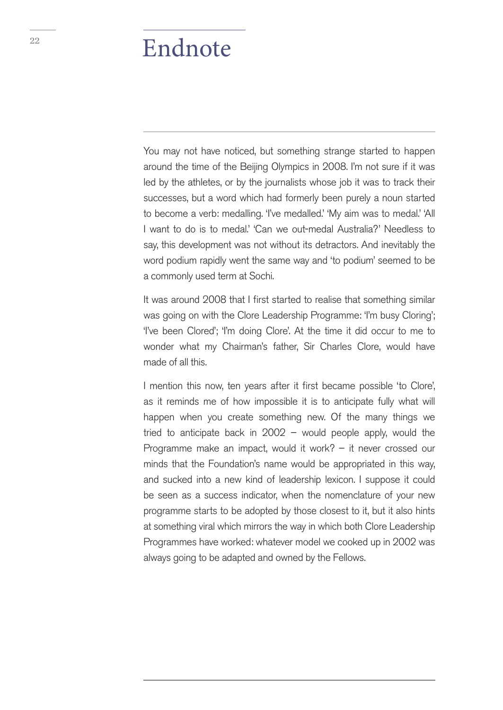## <sup>22</sup> Endnote

You may not have noticed, but something strange started to happen around the time of the Beijing Olympics in 2008. I'm not sure if it was led by the athletes, or by the journalists whose job it was to track their successes, but a word which had formerly been purely a noun started to become a verb: medalling. 'I've medalled.' 'My aim was to medal.' 'All I want to do is to medal.' 'Can we out-medal Australia?' Needless to say, this development was not without its detractors. And inevitably the word podium rapidly went the same way and 'to podium' seemed to be a commonly used term at Sochi.

It was around 2008 that I first started to realise that something similar was going on with the Clore Leadership Programme: 'I'm busy Cloring'; 'I've been Clored'; 'I'm doing Clore'. At the time it did occur to me to wonder what my Chairman's father, Sir Charles Clore, would have made of all this.

I mention this now, ten years after it first became possible 'to Clore', as it reminds me of how impossible it is to anticipate fully what will happen when you create something new. Of the many things we tried to anticipate back in 2002 – would people apply, would the Programme make an impact, would it work? – it never crossed our minds that the Foundation's name would be appropriated in this way, and sucked into a new kind of leadership lexicon. I suppose it could be seen as a success indicator, when the nomenclature of your new programme starts to be adopted by those closest to it, but it also hints at something viral which mirrors the way in which both Clore Leadership Programmes have worked: whatever model we cooked up in 2002 was always going to be adapted and owned by the Fellows.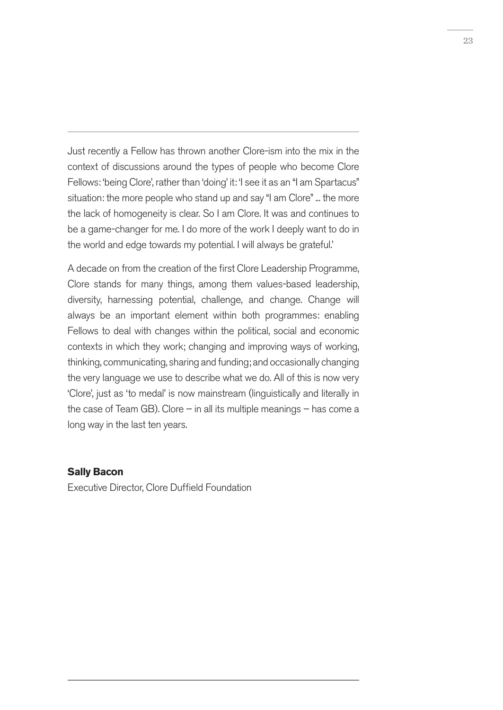Just recently a Fellow has thrown another Clore-ism into the mix in the context of discussions around the types of people who become Clore Fellows: 'being Clore', rather than 'doing' it: 'I see it as an "I am Spartacus" situation: the more people who stand up and say "I am Clore" ... the more the lack of homogeneity is clear. So I am Clore. It was and continues to be a game-changer for me. I do more of the work I deeply want to do in the world and edge towards my potential. I will always be grateful.'

A decade on from the creation of the first Clore Leadership Programme, Clore stands for many things, among them values-based leadership, diversity, harnessing potential, challenge, and change. Change will always be an important element within both programmes: enabling Fellows to deal with changes within the political, social and economic contexts in which they work; changing and improving ways of working, thinking, communicating, sharing and funding; and occasionally changing the very language we use to describe what we do. All of this is now very 'Clore', just as 'to medal' is now mainstream (linguistically and literally in the case of Team GB). Clore  $-$  in all its multiple meanings  $-$  has come a long way in the last ten years.

#### **Sally Bacon**

Executive Director, Clore Duffield Foundation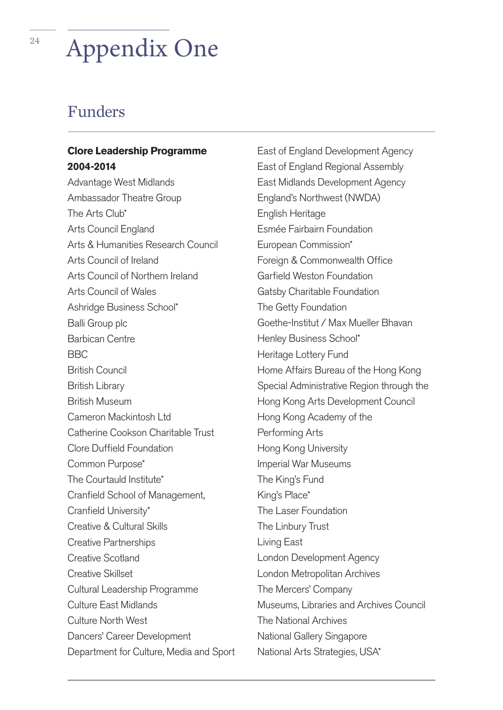# <sup>24</sup> Appendix One

## Funders

## **Clore Leadership Programme 2004-2014**

Advantage West Midlands Ambassador Theatre Group The Arts Club\* Arts Council England Arts & Humanities Research Council Arts Council of Ireland Arts Council of Northern Ireland Arts Council of Wales Ashridge Business School\* Balli Group plc Barbican Centre BBC British Council British Library British Museum Cameron Mackintosh Ltd Catherine Cookson Charitable Trust Clore Duffield Foundation Common Purpose\* The Courtauld Institute\* Cranfield School of Management, Cranfield University\* Creative & Cultural Skills Creative Partnerships Creative Scotland Creative Skillset Cultural Leadership Programme Culture East Midlands Culture North West Dancers' Career Development Department for Culture, Media and Sport

East of England Development Agency East of England Regional Assembly East Midlands Development Agency England's Northwest (NWDA) English Heritage Esmée Fairbairn Foundation European Commission\* Foreign & Commonwealth Office Garfield Weston Foundation Gatsby Charitable Foundation The Getty Foundation Goethe-Institut / Max Mueller Bhavan Henley Business School\* Heritage Lottery Fund Home Affairs Bureau of the Hong Kong Special Administrative Region through the Hong Kong Arts Development Council Hong Kong Academy of the Performing Arts Hong Kong University Imperial War Museums The King's Fund King's Place\* The Laser Foundation The Linbury Trust Living East London Development Agency London Metropolitan Archives The Mercers' Company Museums, Libraries and Archives Council The National Archives National Gallery Singapore National Arts Strategies, USA\*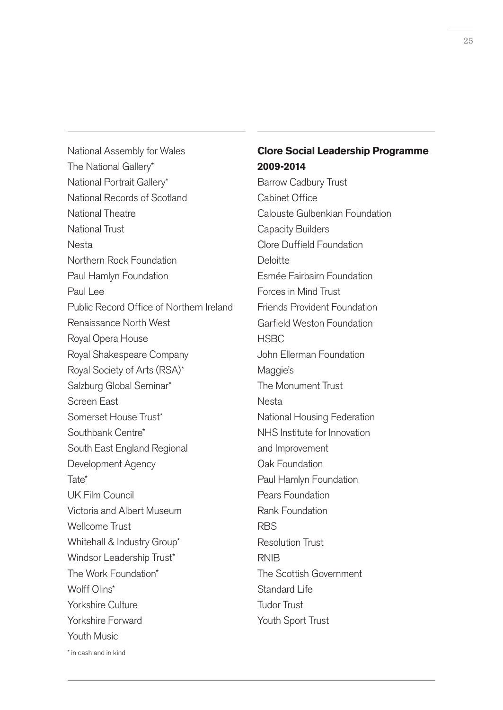National Assembly for Wales The National Gallery\* National Portrait Gallery\* National Records of Scotland National Theatre National Trust Nesta Northern Rock Foundation Paul Hamlyn Foundation Paul Lee Public Record Office of Northern Ireland Renaissance North West Royal Opera House Royal Shakespeare Company Royal Society of Arts (RSA)\* Salzburg Global Seminar\* Screen East Somerset House Trust\* Southbank Centre\* South East England Regional Development Agency Tate\* UK Film Council Victoria and Albert Museum Wellcome Trust Whitehall & Industry Group\* Windsor Leadership Trust\* The Work Foundation\* Wolff Olins\* Yorkshire Culture Yorkshire Forward Youth Music

## **Clore Social Leadership Programme 2009-2014**

Barrow Cadbury Trust Cabinet Office Calouste Gulbenkian Foundation Capacity Builders Clore Duffield Foundation **Deloitte** Esmée Fairbairn Foundation Forces in Mind Trust Friends Provident Foundation Garfield Weston Foundation HSBC John Ellerman Foundation Maggie's The Monument Trust Nesta National Housing Federation NHS Institute for Innovation and Improvement Oak Foundation Paul Hamlyn Foundation Pears Foundation Rank Foundation **RBS** Resolution Trust **RNIB** The Scottish Government Standard Life Tudor Trust Youth Sport Trust

\* in cash and in kind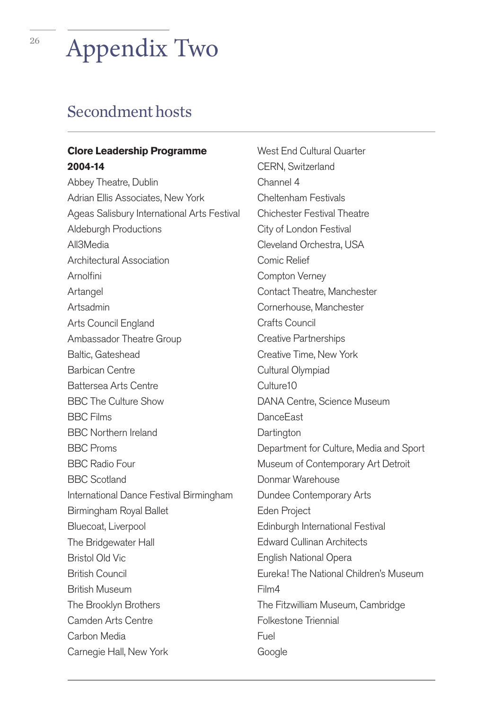## <sup>26</sup> Appendix Two

## Secondment hosts

## **Clore Leadership Programme 2004-14**

Abbey Theatre, Dublin Adrian Ellis Associates, New York Ageas Salisbury International Arts Festival Aldeburgh Productions All3Media Architectural Association **Arnolfini** Artangel Artsadmin Arts Council England Ambassador Theatre Group Baltic, Gateshead Barbican Centre Battersea Arts Centre BBC The Culture Show BBC Films BBC Northern Ireland BBC Proms BBC Radio Four BBC Scotland International Dance Festival Birmingham Birmingham Royal Ballet Bluecoat, Liverpool The Bridgewater Hall Bristol Old Vic British Council British Museum The Brooklyn Brothers Camden Arts Centre Carbon Media Carnegie Hall, New York

West End Cultural Quarter CERN, Switzerland Channel 4 Cheltenham Festivals Chichester Festival Theatre City of London Festival Cleveland Orchestra, USA Comic Relief Compton Verney Contact Theatre, Manchester Cornerhouse, Manchester Crafts Council Creative Partnerships Creative Time, New York Cultural Olympiad Culture10 DANA Centre, Science Museum **DanceFast Dartington** Department for Culture, Media and Sport Museum of Contemporary Art Detroit Donmar Warehouse Dundee Contemporary Arts Eden Project Edinburgh International Festival Edward Cullinan Architects English National Opera Eureka! The National Children's Museum Film4 The Fitzwilliam Museum, Cambridge Folkestone Triennial Fuel Google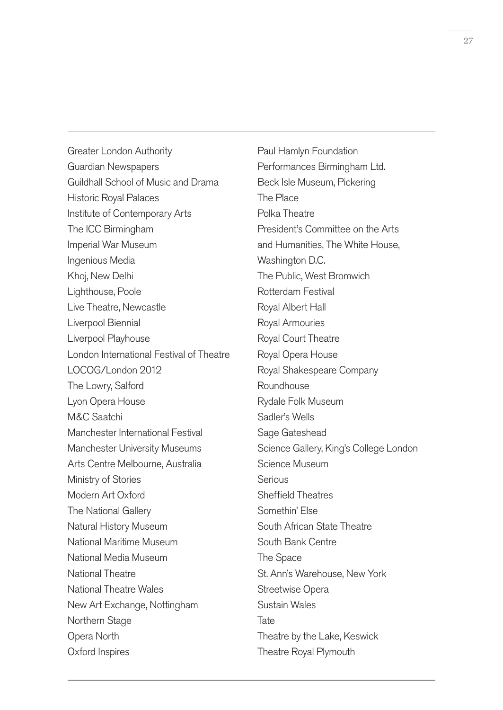Greater London Authority Guardian Newspapers Guildhall School of Music and Drama Historic Royal Palaces Institute of Contemporary Arts The ICC Birmingham Imperial War Museum Ingenious Media Khoj, New Delhi Lighthouse, Poole Live Theatre, Newcastle Liverpool Biennial Liverpool Playhouse London International Festival of Theatre LOCOG/London 2012 The Lowry, Salford Lyon Opera House M&C Saatchi Manchester International Festival Manchester University Museums Arts Centre Melbourne, Australia Ministry of Stories Modern Art Oxford The National Gallery Natural History Museum National Maritime Museum National Media Museum National Theatre National Theatre Wales New Art Exchange, Nottingham Northern Stage Opera North Oxford Inspires

Paul Hamlyn Foundation Performances Birmingham Ltd. Beck Isle Museum, Pickering The Place Polka Theatre President's Committee on the Arts and Humanities, The White House, Washington D.C. The Public, West Bromwich Rotterdam Festival Royal Albert Hall Royal Armouries Royal Court Theatre Royal Opera House Royal Shakespeare Company Roundhouse Rydale Folk Museum Sadler's Wells Sage Gateshead Science Gallery, King's College London Science Museum Serious Sheffield Theatres Somethin' Else South African State Theatre South Bank Centre The Space St. Ann's Warehouse, New York Streetwise Opera Sustain Wales Tate Theatre by the Lake, Keswick Theatre Royal Plymouth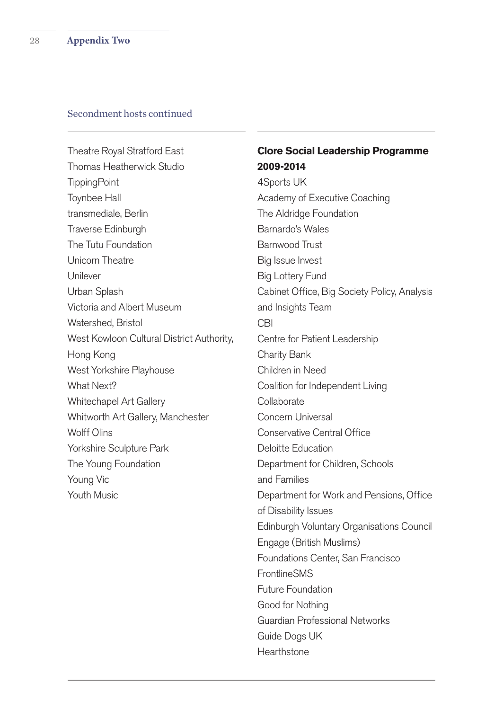#### Secondment hosts continued

Theatre Royal Stratford East Thomas Heatherwick Studio **TippingPoint** Toynbee Hall transmediale, Berlin Traverse Edinburgh The Tutu Foundation Unicorn Theatre Unilever Urban Splash Victoria and Albert Museum Watershed, Bristol West Kowloon Cultural District Authority, Hong Kong West Yorkshire Playhouse What Next? Whitechapel Art Gallery Whitworth Art Gallery, Manchester Wolff Olins Yorkshire Sculpture Park The Young Foundation Young Vic Youth Music

## **Clore Social Leadership Programme 2009-2014**

4Sports UK Academy of Executive Coaching The Aldridge Foundation Barnardo's Wales Barnwood Trust Big Issue Invest Big Lottery Fund Cabinet Office, Big Society Policy, Analysis and Insights Team CBI Centre for Patient Leadership Charity Bank Children in Need Coalition for Independent Living **Collaborate** Concern Universal Conservative Central Office Deloitte Education Department for Children, Schools and Families Department for Work and Pensions, Office of Disability Issues Edinburgh Voluntary Organisations Council Engage (British Muslims) Foundations Center, San Francisco **FrontlineSMS** Future Foundation Good for Nothing Guardian Professional Networks Guide Dogs UK **Hearthstone**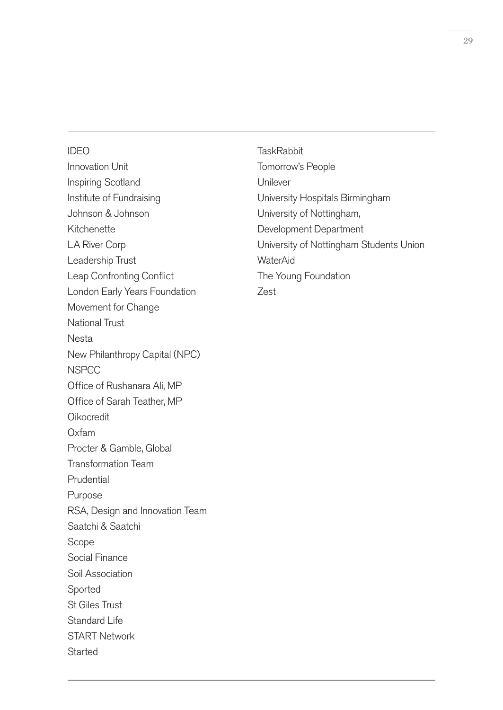#### IDEO

Innovation Unit Inspiring Scotland Institute of Fundraising Johnson & Johnson Kitchenette LA River Corp Leadership Trust Leap Confronting Conflict London Early Years Foundation Movement for Change National Trust Nesta New Philanthropy Capital (NPC) **NSPCC** Office of Rushanara Ali, MP Office of Sarah Teather, MP Oikocredit Oxfam Procter & Gamble, Global Transformation Team Prudential Purpose RSA, Design and Innovation Team Saatchi & Saatchi Scope Social Finance Soil Association Sported St Giles Trust Standard Life START Network **Started** 

**TaskRabbit** Tomorrow's People Unilever University Hospitals Birmingham University of Nottingham, Development Department University of Nottingham Students Union **WaterAid** The Young Foundation Zest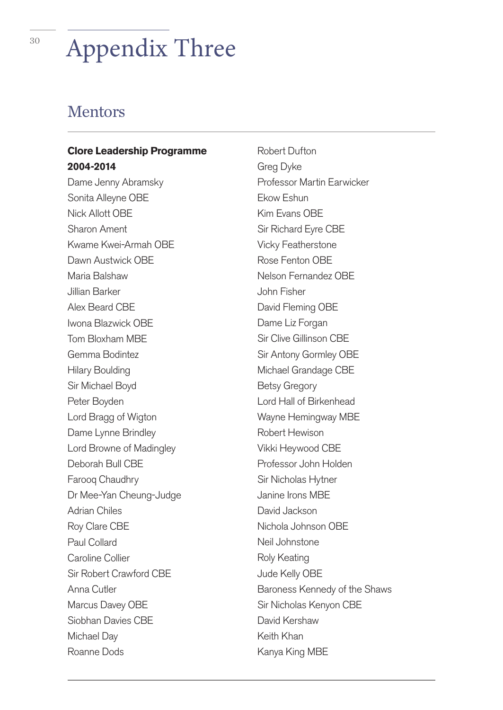## <sup>30</sup> Appendix Three

## Mentors

## **Clore Leadership Programme 2004-2014**

Dame Jenny Abramsky Sonita Alleyne OBE Nick Allott OBE Sharon Ament Kwame Kwei-Armah OBE Dawn Austwick OBE Maria Balshaw Jillian Barker Alex Beard CBE Iwona Blazwick OBE Tom Bloxham MBE Gemma Bodintez Hilary Boulding Sir Michael Boyd Peter Boyden Lord Bragg of Wigton Dame Lynne Brindley Lord Browne of Madingley Deborah Bull CBE Farooq Chaudhry Dr Mee-Yan Cheung-Judge Adrian Chiles Roy Clare CBE Paul Collard Caroline Collier Sir Robert Crawford CBE Anna Cutler Marcus Davey OBE Siobhan Davies CBE Michael Day Roanne Dods

Robert Dufton Greg Dyke Professor Martin Earwicker Ekow Eshun Kim Evans OBE Sir Richard Eyre CBE Vicky Featherstone Rose Fenton OBE Nelson Fernandez OBE John Fisher David Fleming OBE Dame Liz Forgan Sir Clive Gillinson CBE Sir Antony Gormley OBE Michael Grandage CBE Betsy Gregory Lord Hall of Birkenhead Wayne Hemingway MBE Robert Hewison Vikki Heywood CBE Professor John Holden Sir Nicholas Hytner Janine Irons MBE David Jackson Nichola Johnson OBE Neil Johnstone Roly Keating Jude Kelly OBE Baroness Kennedy of the Shaws Sir Nicholas Kenyon CBE David Kershaw Keith Khan Kanya King MBE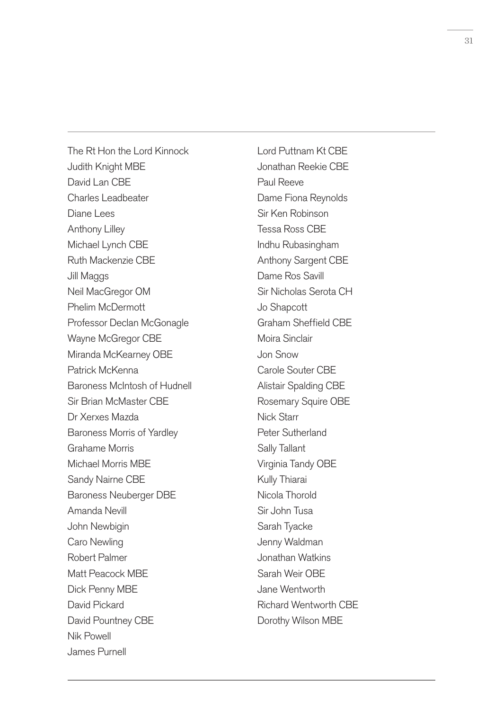The Rt Hon the Lord Kinnock Judith Knight MBE David Lan CBF Charles Leadbeater Diane Lees Anthony Lilley Michael Lynch CBE Ruth Mackenzie CBE Jill Maggs Neil MacGregor OM Phelim McDermott Professor Declan McGonagle Wayne McGregor CBE Miranda McKearney OBE Patrick McKenna Baroness McIntosh of Hudnell Sir Brian McMaster CBE Dr Xerxes Mazda Baroness Morris of Yardley Grahame Morris Michael Morris MBE Sandy Nairne CBE Baroness Neuberger DBE Amanda Nevill John Newbigin Caro Newling Robert Palmer Matt Peacock MBE Dick Penny MBE David Pickard David Pountney CBE Nik Powell James Purnell

Lord Puttnam Kt CBE Jonathan Reekie CBE Paul Reeve Dame Fiona Reynolds Sir Ken Robinson Tessa Ross CBE Indhu Rubasingham Anthony Sargent CBE Dame Ros Savill Sir Nicholas Serota CH Jo Shapcott Graham Sheffield CBE Moira Sinclair Jon Snow Carole Souter CBE Alistair Spalding CBE Rosemary Squire OBE Nick Starr Peter Sutherland Sally Tallant Virginia Tandy OBE Kully Thiarai Nicola Thorold Sir John Tusa Sarah Tyacke Jenny Waldman Jonathan Watkins Sarah Weir OBE Jane Wentworth Richard Wentworth CBE Dorothy Wilson MBE